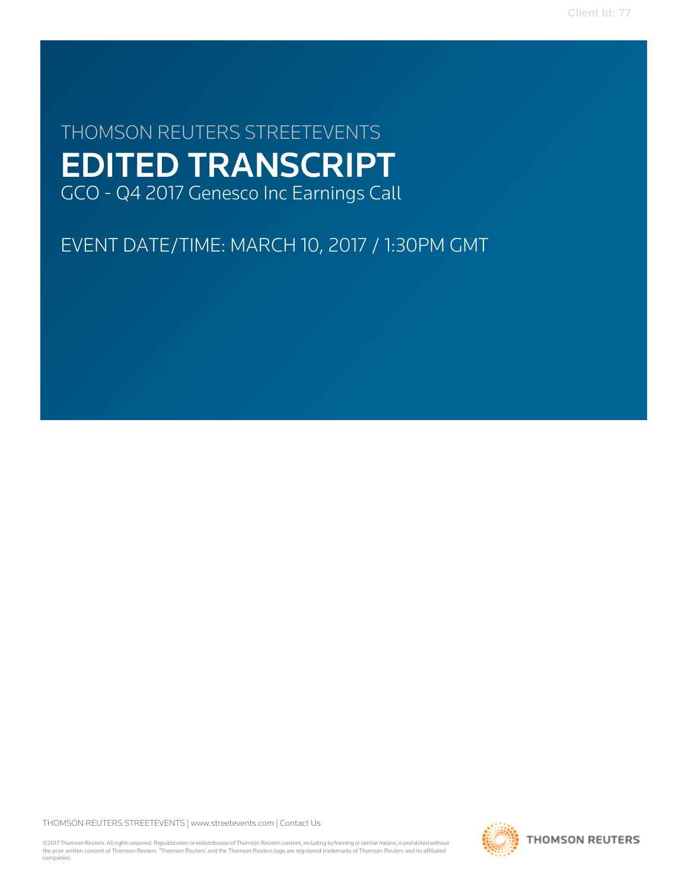**Client Id: 77**

# THOMSON REUTERS STREETEVENTS EDITED TRANSCRIPT GCO - Q4 2017 Genesco Inc Earnings Call

EVENT DATE/TIME: MARCH 10, 2017 / 1:30PM GMT

THOMSON REUTERS STREETEVENTS | [www.streetevents.com](http://www.streetevents.com) | [Contact Us](http://www010.streetevents.com/contact.asp)

©2017 Thomson Reuters. All rights reserved. Republication or redistribution of Thomson Reuters content, including by framing or similar means, is prohibited without the prior written consent of Thomson Reuters. 'Thomson Reuters' and the Thomson Reuters logo are registered trademarks of Thomson Reuters and its affiliated companies.

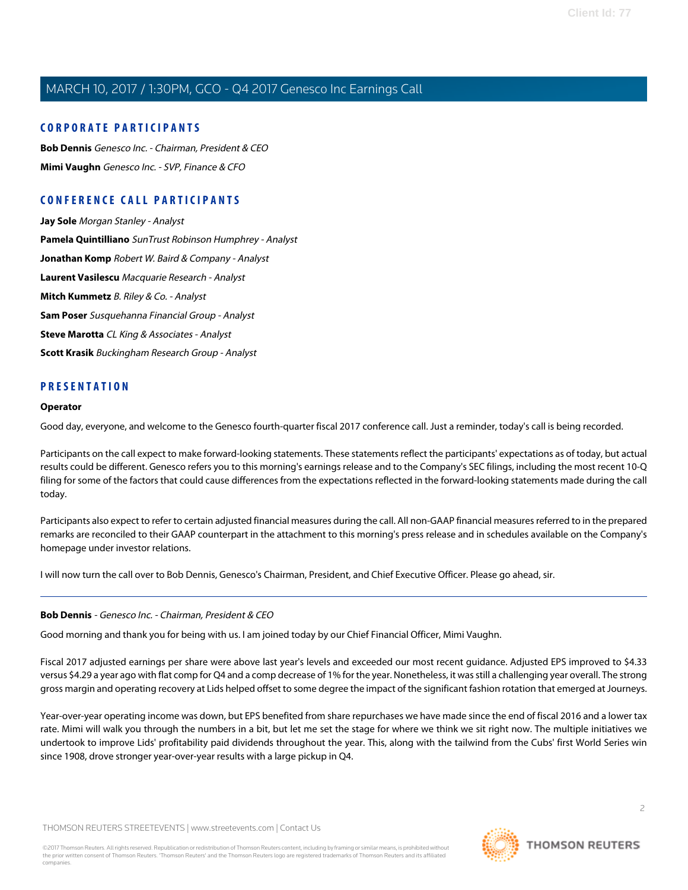### **CORPORATE PARTICIPANTS**

**[Bob Dennis](#page-1-0)** Genesco Inc. - Chairman, President & CEO **[Mimi Vaughn](#page-3-0)** Genesco Inc. - SVP, Finance & CFO

### **CONFERENCE CALL PARTICIPANTS**

**[Jay Sole](#page-8-0)** Morgan Stanley - Analyst **[Pamela Quintilliano](#page-9-0)** SunTrust Robinson Humphrey - Analyst **[Jonathan Komp](#page-10-0)** Robert W. Baird & Company - Analyst **[Laurent Vasilescu](#page-11-0)** Macquarie Research - Analyst **[Mitch Kummetz](#page-12-0)** B. Riley & Co. - Analyst **[Sam Poser](#page-13-0)** Susquehanna Financial Group - Analyst **[Steve Marotta](#page-15-0)** CL King & Associates - Analyst **[Scott Krasik](#page-15-1)** Buckingham Research Group - Analyst

### **PRESENTATION**

#### **Operator**

Good day, everyone, and welcome to the Genesco fourth-quarter fiscal 2017 conference call. Just a reminder, today's call is being recorded.

Participants on the call expect to make forward-looking statements. These statements reflect the participants' expectations as of today, but actual results could be different. Genesco refers you to this morning's earnings release and to the Company's SEC filings, including the most recent 10-Q filing for some of the factors that could cause differences from the expectations reflected in the forward-looking statements made during the call today.

Participants also expect to refer to certain adjusted financial measures during the call. All non-GAAP financial measures referred to in the prepared remarks are reconciled to their GAAP counterpart in the attachment to this morning's press release and in schedules available on the Company's homepage under investor relations.

<span id="page-1-0"></span>I will now turn the call over to Bob Dennis, Genesco's Chairman, President, and Chief Executive Officer. Please go ahead, sir.

### **Bob Dennis** - Genesco Inc. - Chairman, President & CEO

Good morning and thank you for being with us. I am joined today by our Chief Financial Officer, Mimi Vaughn.

Fiscal 2017 adjusted earnings per share were above last year's levels and exceeded our most recent guidance. Adjusted EPS improved to \$4.33 versus \$4.29 a year ago with flat comp for Q4 and a comp decrease of 1% for the year. Nonetheless, it was still a challenging year overall. The strong gross margin and operating recovery at Lids helped offset to some degree the impact of the significant fashion rotation that emerged at Journeys.

Year-over-year operating income was down, but EPS benefited from share repurchases we have made since the end of fiscal 2016 and a lower tax rate. Mimi will walk you through the numbers in a bit, but let me set the stage for where we think we sit right now. The multiple initiatives we undertook to improve Lids' profitability paid dividends throughout the year. This, along with the tailwind from the Cubs' first World Series win since 1908, drove stronger year-over-year results with a large pickup in Q4.

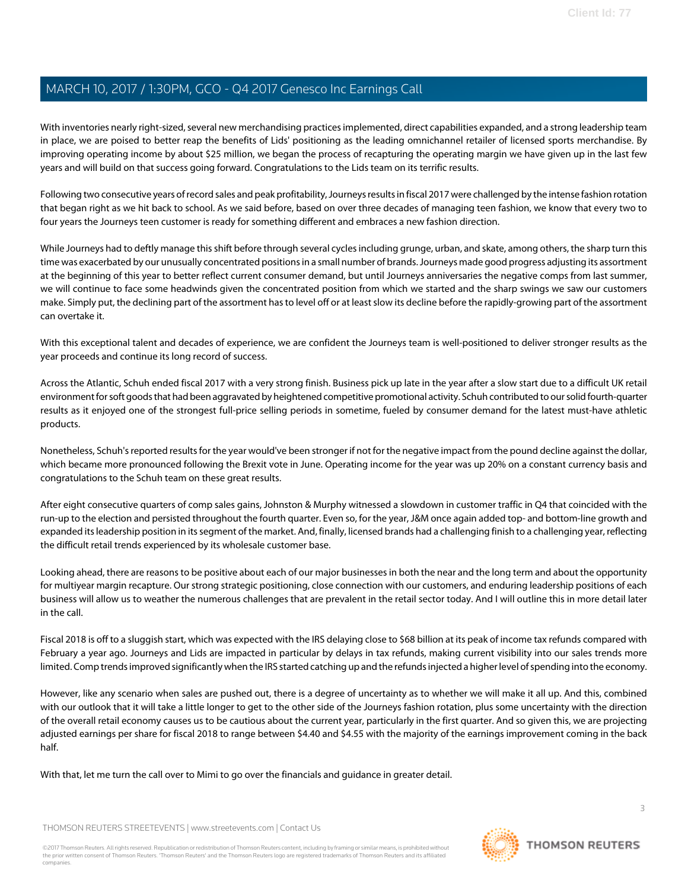With inventories nearly right-sized, several new merchandising practices implemented, direct capabilities expanded, and a strong leadership team in place, we are poised to better reap the benefits of Lids' positioning as the leading omnichannel retailer of licensed sports merchandise. By improving operating income by about \$25 million, we began the process of recapturing the operating margin we have given up in the last few years and will build on that success going forward. Congratulations to the Lids team on its terrific results.

Following two consecutive years of record sales and peak profitability, Journeys results in fiscal 2017 were challenged by the intense fashion rotation that began right as we hit back to school. As we said before, based on over three decades of managing teen fashion, we know that every two to four years the Journeys teen customer is ready for something different and embraces a new fashion direction.

While Journeys had to deftly manage this shift before through several cycles including grunge, urban, and skate, among others, the sharp turn this time was exacerbated by our unusually concentrated positions in a small number of brands. Journeys made good progress adjusting its assortment at the beginning of this year to better reflect current consumer demand, but until Journeys anniversaries the negative comps from last summer, we will continue to face some headwinds given the concentrated position from which we started and the sharp swings we saw our customers make. Simply put, the declining part of the assortment has to level off or at least slow its decline before the rapidly-growing part of the assortment can overtake it.

With this exceptional talent and decades of experience, we are confident the Journeys team is well-positioned to deliver stronger results as the year proceeds and continue its long record of success.

Across the Atlantic, Schuh ended fiscal 2017 with a very strong finish. Business pick up late in the year after a slow start due to a difficult UK retail environment for soft goods that had been aggravated by heightened competitive promotional activity. Schuh contributed to our solid fourth-quarter results as it enjoyed one of the strongest full-price selling periods in sometime, fueled by consumer demand for the latest must-have athletic products.

Nonetheless, Schuh's reported results for the year would've been stronger if not for the negative impact from the pound decline against the dollar, which became more pronounced following the Brexit vote in June. Operating income for the year was up 20% on a constant currency basis and congratulations to the Schuh team on these great results.

After eight consecutive quarters of comp sales gains, Johnston & Murphy witnessed a slowdown in customer traffic in Q4 that coincided with the run-up to the election and persisted throughout the fourth quarter. Even so, for the year, J&M once again added top- and bottom-line growth and expanded its leadership position in its segment of the market. And, finally, licensed brands had a challenging finish to a challenging year, reflecting the difficult retail trends experienced by its wholesale customer base.

Looking ahead, there are reasons to be positive about each of our major businesses in both the near and the long term and about the opportunity for multiyear margin recapture. Our strong strategic positioning, close connection with our customers, and enduring leadership positions of each business will allow us to weather the numerous challenges that are prevalent in the retail sector today. And I will outline this in more detail later in the call.

Fiscal 2018 is off to a sluggish start, which was expected with the IRS delaying close to \$68 billion at its peak of income tax refunds compared with February a year ago. Journeys and Lids are impacted in particular by delays in tax refunds, making current visibility into our sales trends more limited. Comp trends improved significantly when the IRS started catching up and the refunds injected a higher level of spending into the economy.

However, like any scenario when sales are pushed out, there is a degree of uncertainty as to whether we will make it all up. And this, combined with our outlook that it will take a little longer to get to the other side of the Journeys fashion rotation, plus some uncertainty with the direction of the overall retail economy causes us to be cautious about the current year, particularly in the first quarter. And so given this, we are projecting adjusted earnings per share for fiscal 2018 to range between \$4.40 and \$4.55 with the majority of the earnings improvement coming in the back half.

With that, let me turn the call over to Mimi to go over the financials and guidance in greater detail.

THOMSON REUTERS STREETEVENTS | [www.streetevents.com](http://www.streetevents.com) | [Contact Us](http://www010.streetevents.com/contact.asp)

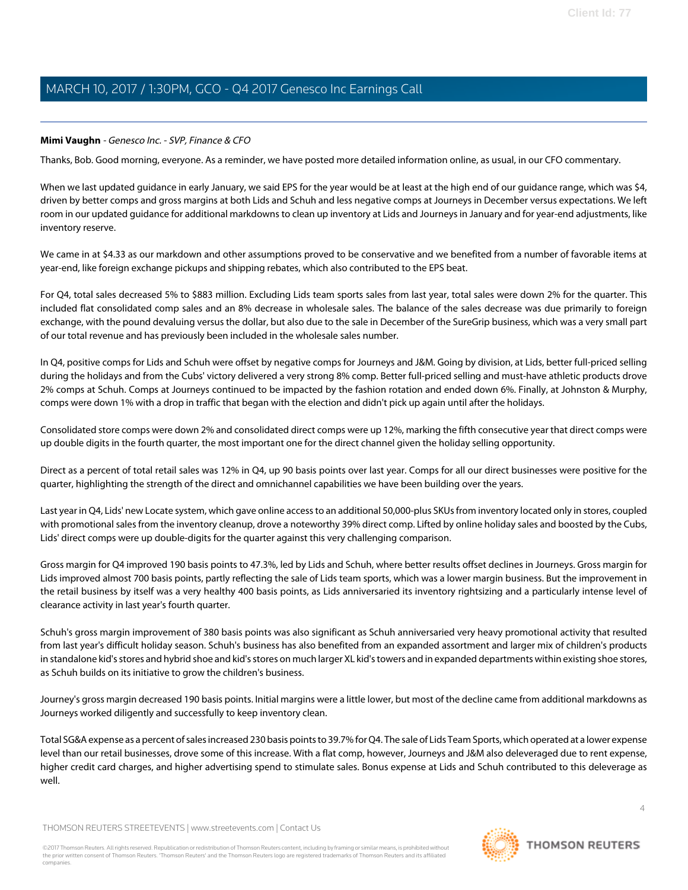### <span id="page-3-0"></span>**Mimi Vaughn** - Genesco Inc. - SVP, Finance & CFO

Thanks, Bob. Good morning, everyone. As a reminder, we have posted more detailed information online, as usual, in our CFO commentary.

When we last updated guidance in early January, we said EPS for the year would be at least at the high end of our guidance range, which was \$4, driven by better comps and gross margins at both Lids and Schuh and less negative comps at Journeys in December versus expectations. We left room in our updated guidance for additional markdowns to clean up inventory at Lids and Journeys in January and for year-end adjustments, like inventory reserve.

We came in at \$4.33 as our markdown and other assumptions proved to be conservative and we benefited from a number of favorable items at year-end, like foreign exchange pickups and shipping rebates, which also contributed to the EPS beat.

For Q4, total sales decreased 5% to \$883 million. Excluding Lids team sports sales from last year, total sales were down 2% for the quarter. This included flat consolidated comp sales and an 8% decrease in wholesale sales. The balance of the sales decrease was due primarily to foreign exchange, with the pound devaluing versus the dollar, but also due to the sale in December of the SureGrip business, which was a very small part of our total revenue and has previously been included in the wholesale sales number.

In Q4, positive comps for Lids and Schuh were offset by negative comps for Journeys and J&M. Going by division, at Lids, better full-priced selling during the holidays and from the Cubs' victory delivered a very strong 8% comp. Better full-priced selling and must-have athletic products drove 2% comps at Schuh. Comps at Journeys continued to be impacted by the fashion rotation and ended down 6%. Finally, at Johnston & Murphy, comps were down 1% with a drop in traffic that began with the election and didn't pick up again until after the holidays.

Consolidated store comps were down 2% and consolidated direct comps were up 12%, marking the fifth consecutive year that direct comps were up double digits in the fourth quarter, the most important one for the direct channel given the holiday selling opportunity.

Direct as a percent of total retail sales was 12% in Q4, up 90 basis points over last year. Comps for all our direct businesses were positive for the quarter, highlighting the strength of the direct and omnichannel capabilities we have been building over the years.

Last year in Q4, Lids' new Locate system, which gave online access to an additional 50,000-plus SKUs from inventory located only in stores, coupled with promotional sales from the inventory cleanup, drove a noteworthy 39% direct comp. Lifted by online holiday sales and boosted by the Cubs, Lids' direct comps were up double-digits for the quarter against this very challenging comparison.

Gross margin for Q4 improved 190 basis points to 47.3%, led by Lids and Schuh, where better results offset declines in Journeys. Gross margin for Lids improved almost 700 basis points, partly reflecting the sale of Lids team sports, which was a lower margin business. But the improvement in the retail business by itself was a very healthy 400 basis points, as Lids anniversaried its inventory rightsizing and a particularly intense level of clearance activity in last year's fourth quarter.

Schuh's gross margin improvement of 380 basis points was also significant as Schuh anniversaried very heavy promotional activity that resulted from last year's difficult holiday season. Schuh's business has also benefited from an expanded assortment and larger mix of children's products in standalone kid's stores and hybrid shoe and kid's stores on much larger XL kid's towers and in expanded departments within existing shoe stores, as Schuh builds on its initiative to grow the children's business.

Journey's gross margin decreased 190 basis points. Initial margins were a little lower, but most of the decline came from additional markdowns as Journeys worked diligently and successfully to keep inventory clean.

Total SG&A expense as a percent of sales increased 230 basis points to 39.7% for Q4. The sale of Lids Team Sports, which operated at a lower expense level than our retail businesses, drove some of this increase. With a flat comp, however, Journeys and J&M also deleveraged due to rent expense, higher credit card charges, and higher advertising spend to stimulate sales. Bonus expense at Lids and Schuh contributed to this deleverage as well.

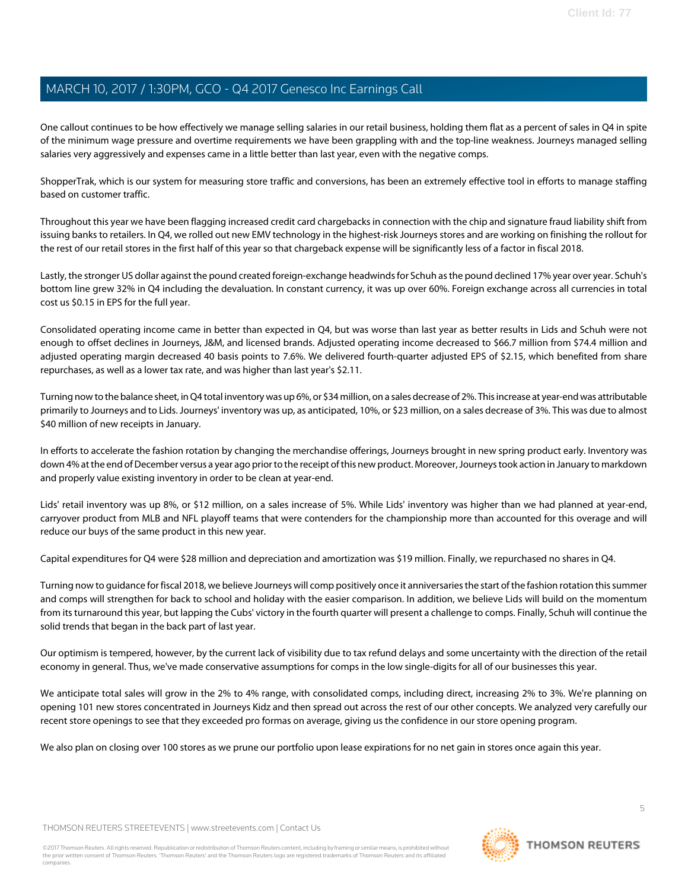One callout continues to be how effectively we manage selling salaries in our retail business, holding them flat as a percent of sales in Q4 in spite of the minimum wage pressure and overtime requirements we have been grappling with and the top-line weakness. Journeys managed selling salaries very aggressively and expenses came in a little better than last year, even with the negative comps.

ShopperTrak, which is our system for measuring store traffic and conversions, has been an extremely effective tool in efforts to manage staffing based on customer traffic.

Throughout this year we have been flagging increased credit card chargebacks in connection with the chip and signature fraud liability shift from issuing banks to retailers. In Q4, we rolled out new EMV technology in the highest-risk Journeys stores and are working on finishing the rollout for the rest of our retail stores in the first half of this year so that chargeback expense will be significantly less of a factor in fiscal 2018.

Lastly, the stronger US dollar against the pound created foreign-exchange headwinds for Schuh as the pound declined 17% year over year. Schuh's bottom line grew 32% in Q4 including the devaluation. In constant currency, it was up over 60%. Foreign exchange across all currencies in total cost us \$0.15 in EPS for the full year.

Consolidated operating income came in better than expected in Q4, but was worse than last year as better results in Lids and Schuh were not enough to offset declines in Journeys, J&M, and licensed brands. Adjusted operating income decreased to \$66.7 million from \$74.4 million and adjusted operating margin decreased 40 basis points to 7.6%. We delivered fourth-quarter adjusted EPS of \$2.15, which benefited from share repurchases, as well as a lower tax rate, and was higher than last year's \$2.11.

Turning now to the balance sheet, in Q4 total inventory was up 6%, or \$34 million, on a sales decrease of 2%. This increase at year-end was attributable primarily to Journeys and to Lids. Journeys' inventory was up, as anticipated, 10%, or \$23 million, on a sales decrease of 3%. This was due to almost \$40 million of new receipts in January.

In efforts to accelerate the fashion rotation by changing the merchandise offerings, Journeys brought in new spring product early. Inventory was down 4% at the end of December versus a year ago prior to the receipt of this new product. Moreover, Journeys took action in January to markdown and properly value existing inventory in order to be clean at year-end.

Lids' retail inventory was up 8%, or \$12 million, on a sales increase of 5%. While Lids' inventory was higher than we had planned at year-end, carryover product from MLB and NFL playoff teams that were contenders for the championship more than accounted for this overage and will reduce our buys of the same product in this new year.

Capital expenditures for Q4 were \$28 million and depreciation and amortization was \$19 million. Finally, we repurchased no shares in Q4.

Turning now to guidance for fiscal 2018, we believe Journeys will comp positively once it anniversaries the start of the fashion rotation this summer and comps will strengthen for back to school and holiday with the easier comparison. In addition, we believe Lids will build on the momentum from its turnaround this year, but lapping the Cubs' victory in the fourth quarter will present a challenge to comps. Finally, Schuh will continue the solid trends that began in the back part of last year.

Our optimism is tempered, however, by the current lack of visibility due to tax refund delays and some uncertainty with the direction of the retail economy in general. Thus, we've made conservative assumptions for comps in the low single-digits for all of our businesses this year.

We anticipate total sales will grow in the 2% to 4% range, with consolidated comps, including direct, increasing 2% to 3%. We're planning on opening 101 new stores concentrated in Journeys Kidz and then spread out across the rest of our other concepts. We analyzed very carefully our recent store openings to see that they exceeded pro formas on average, giving us the confidence in our store opening program.

We also plan on closing over 100 stores as we prune our portfolio upon lease expirations for no net gain in stores once again this year.

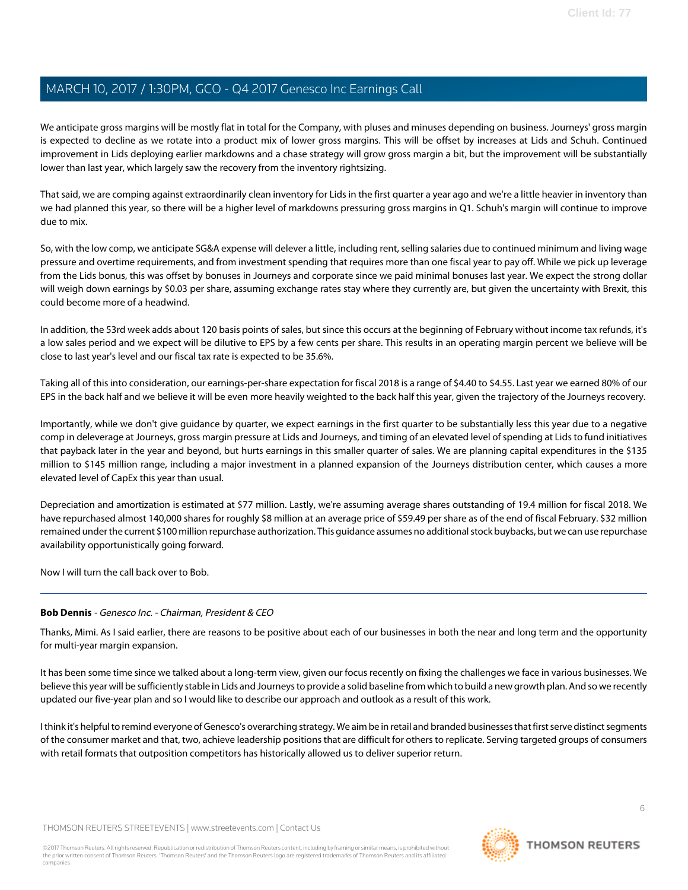We anticipate gross margins will be mostly flat in total for the Company, with pluses and minuses depending on business. Journeys' gross margin is expected to decline as we rotate into a product mix of lower gross margins. This will be offset by increases at Lids and Schuh. Continued improvement in Lids deploying earlier markdowns and a chase strategy will grow gross margin a bit, but the improvement will be substantially lower than last year, which largely saw the recovery from the inventory rightsizing.

That said, we are comping against extraordinarily clean inventory for Lids in the first quarter a year ago and we're a little heavier in inventory than we had planned this year, so there will be a higher level of markdowns pressuring gross margins in Q1. Schuh's margin will continue to improve due to mix.

So, with the low comp, we anticipate SG&A expense will delever a little, including rent, selling salaries due to continued minimum and living wage pressure and overtime requirements, and from investment spending that requires more than one fiscal year to pay off. While we pick up leverage from the Lids bonus, this was offset by bonuses in Journeys and corporate since we paid minimal bonuses last year. We expect the strong dollar will weigh down earnings by \$0.03 per share, assuming exchange rates stay where they currently are, but given the uncertainty with Brexit, this could become more of a headwind.

In addition, the 53rd week adds about 120 basis points of sales, but since this occurs at the beginning of February without income tax refunds, it's a low sales period and we expect will be dilutive to EPS by a few cents per share. This results in an operating margin percent we believe will be close to last year's level and our fiscal tax rate is expected to be 35.6%.

Taking all of this into consideration, our earnings-per-share expectation for fiscal 2018 is a range of \$4.40 to \$4.55. Last year we earned 80% of our EPS in the back half and we believe it will be even more heavily weighted to the back half this year, given the trajectory of the Journeys recovery.

Importantly, while we don't give guidance by quarter, we expect earnings in the first quarter to be substantially less this year due to a negative comp in deleverage at Journeys, gross margin pressure at Lids and Journeys, and timing of an elevated level of spending at Lids to fund initiatives that payback later in the year and beyond, but hurts earnings in this smaller quarter of sales. We are planning capital expenditures in the \$135 million to \$145 million range, including a major investment in a planned expansion of the Journeys distribution center, which causes a more elevated level of CapEx this year than usual.

Depreciation and amortization is estimated at \$77 million. Lastly, we're assuming average shares outstanding of 19.4 million for fiscal 2018. We have repurchased almost 140,000 shares for roughly \$8 million at an average price of \$59.49 per share as of the end of fiscal February. \$32 million remained under the current \$100 million repurchase authorization. This guidance assumes no additional stock buybacks, but we can use repurchase availability opportunistically going forward.

Now I will turn the call back over to Bob.

### **Bob Dennis** - Genesco Inc. - Chairman, President & CEO

Thanks, Mimi. As I said earlier, there are reasons to be positive about each of our businesses in both the near and long term and the opportunity for multi-year margin expansion.

It has been some time since we talked about a long-term view, given our focus recently on fixing the challenges we face in various businesses. We believe this year will be sufficiently stable in Lids and Journeys to provide a solid baseline from which to build a new growth plan. And so we recently updated our five-year plan and so I would like to describe our approach and outlook as a result of this work.

I think it's helpful to remind everyone of Genesco's overarching strategy. We aim be in retail and branded businesses that first serve distinct segments of the consumer market and that, two, achieve leadership positions that are difficult for others to replicate. Serving targeted groups of consumers with retail formats that outposition competitors has historically allowed us to deliver superior return.

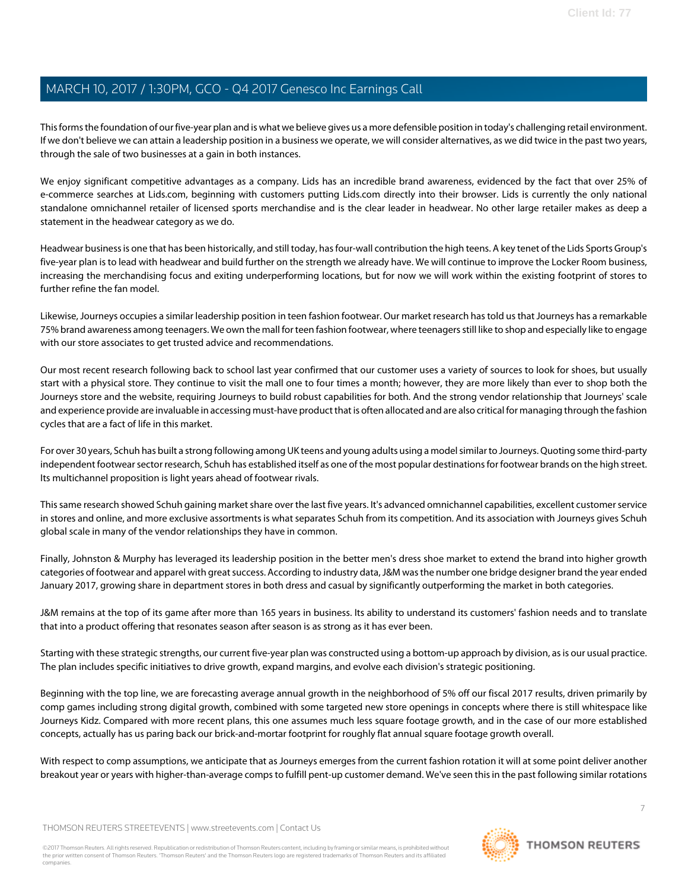This forms the foundation of our five-year plan and is what we believe gives us a more defensible position in today's challenging retail environment. If we don't believe we can attain a leadership position in a business we operate, we will consider alternatives, as we did twice in the past two years, through the sale of two businesses at a gain in both instances.

We enjoy significant competitive advantages as a company. Lids has an incredible brand awareness, evidenced by the fact that over 25% of e-commerce searches at Lids.com, beginning with customers putting Lids.com directly into their browser. Lids is currently the only national standalone omnichannel retailer of licensed sports merchandise and is the clear leader in headwear. No other large retailer makes as deep a statement in the headwear category as we do.

Headwear business is one that has been historically, and still today, has four-wall contribution the high teens. A key tenet of the Lids Sports Group's five-year plan is to lead with headwear and build further on the strength we already have. We will continue to improve the Locker Room business, increasing the merchandising focus and exiting underperforming locations, but for now we will work within the existing footprint of stores to further refine the fan model.

Likewise, Journeys occupies a similar leadership position in teen fashion footwear. Our market research has told us that Journeys has a remarkable 75% brand awareness among teenagers. We own the mall for teen fashion footwear, where teenagers still like to shop and especially like to engage with our store associates to get trusted advice and recommendations.

Our most recent research following back to school last year confirmed that our customer uses a variety of sources to look for shoes, but usually start with a physical store. They continue to visit the mall one to four times a month; however, they are more likely than ever to shop both the Journeys store and the website, requiring Journeys to build robust capabilities for both. And the strong vendor relationship that Journeys' scale and experience provide are invaluable in accessing must-have product that is often allocated and are also critical for managing through the fashion cycles that are a fact of life in this market.

For over 30 years, Schuh has built a strong following among UK teens and young adults using a model similar to Journeys. Quoting some third-party independent footwear sector research, Schuh has established itself as one of the most popular destinations for footwear brands on the high street. Its multichannel proposition is light years ahead of footwear rivals.

This same research showed Schuh gaining market share over the last five years. It's advanced omnichannel capabilities, excellent customer service in stores and online, and more exclusive assortments is what separates Schuh from its competition. And its association with Journeys gives Schuh global scale in many of the vendor relationships they have in common.

Finally, Johnston & Murphy has leveraged its leadership position in the better men's dress shoe market to extend the brand into higher growth categories of footwear and apparel with great success. According to industry data, J&M was the number one bridge designer brand the year ended January 2017, growing share in department stores in both dress and casual by significantly outperforming the market in both categories.

J&M remains at the top of its game after more than 165 years in business. Its ability to understand its customers' fashion needs and to translate that into a product offering that resonates season after season is as strong as it has ever been.

Starting with these strategic strengths, our current five-year plan was constructed using a bottom-up approach by division, as is our usual practice. The plan includes specific initiatives to drive growth, expand margins, and evolve each division's strategic positioning.

Beginning with the top line, we are forecasting average annual growth in the neighborhood of 5% off our fiscal 2017 results, driven primarily by comp games including strong digital growth, combined with some targeted new store openings in concepts where there is still whitespace like Journeys Kidz. Compared with more recent plans, this one assumes much less square footage growth, and in the case of our more established concepts, actually has us paring back our brick-and-mortar footprint for roughly flat annual square footage growth overall.

With respect to comp assumptions, we anticipate that as Journeys emerges from the current fashion rotation it will at some point deliver another breakout year or years with higher-than-average comps to fulfill pent-up customer demand. We've seen this in the past following similar rotations

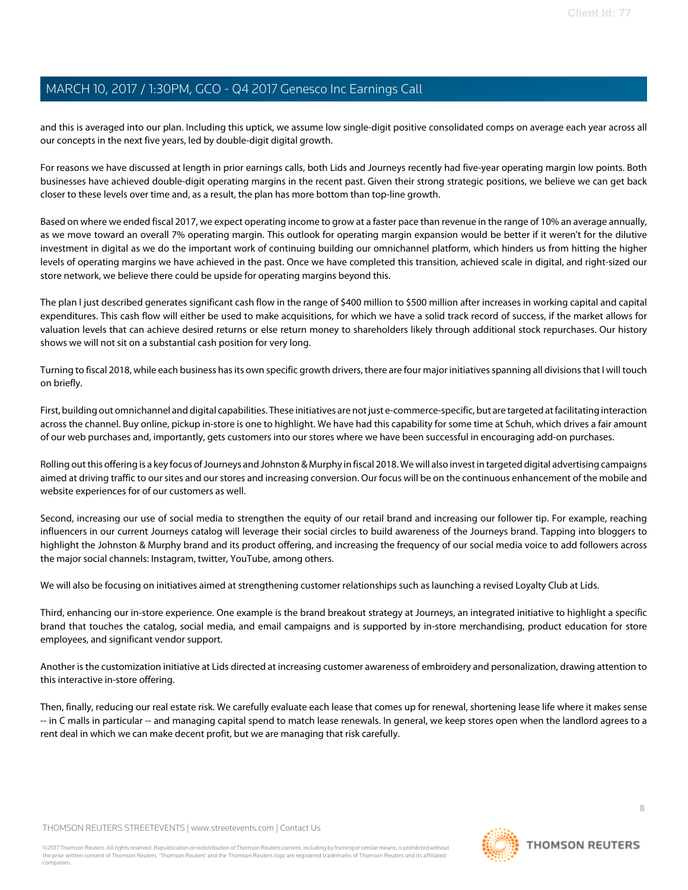and this is averaged into our plan. Including this uptick, we assume low single-digit positive consolidated comps on average each year across all our concepts in the next five years, led by double-digit digital growth.

For reasons we have discussed at length in prior earnings calls, both Lids and Journeys recently had five-year operating margin low points. Both businesses have achieved double-digit operating margins in the recent past. Given their strong strategic positions, we believe we can get back closer to these levels over time and, as a result, the plan has more bottom than top-line growth.

Based on where we ended fiscal 2017, we expect operating income to grow at a faster pace than revenue in the range of 10% an average annually, as we move toward an overall 7% operating margin. This outlook for operating margin expansion would be better if it weren't for the dilutive investment in digital as we do the important work of continuing building our omnichannel platform, which hinders us from hitting the higher levels of operating margins we have achieved in the past. Once we have completed this transition, achieved scale in digital, and right-sized our store network, we believe there could be upside for operating margins beyond this.

The plan I just described generates significant cash flow in the range of \$400 million to \$500 million after increases in working capital and capital expenditures. This cash flow will either be used to make acquisitions, for which we have a solid track record of success, if the market allows for valuation levels that can achieve desired returns or else return money to shareholders likely through additional stock repurchases. Our history shows we will not sit on a substantial cash position for very long.

Turning to fiscal 2018, while each business has its own specific growth drivers, there are four major initiatives spanning all divisions that I will touch on briefly.

First, building out omnichannel and digital capabilities. These initiatives are not just e-commerce-specific, but are targeted at facilitating interaction across the channel. Buy online, pickup in-store is one to highlight. We have had this capability for some time at Schuh, which drives a fair amount of our web purchases and, importantly, gets customers into our stores where we have been successful in encouraging add-on purchases.

Rolling out this offering is a key focus of Journeys and Johnston & Murphy in fiscal 2018. We will also invest in targeted digital advertising campaigns aimed at driving traffic to our sites and our stores and increasing conversion. Our focus will be on the continuous enhancement of the mobile and website experiences for of our customers as well.

Second, increasing our use of social media to strengthen the equity of our retail brand and increasing our follower tip. For example, reaching influencers in our current Journeys catalog will leverage their social circles to build awareness of the Journeys brand. Tapping into bloggers to highlight the Johnston & Murphy brand and its product offering, and increasing the frequency of our social media voice to add followers across the major social channels: Instagram, twitter, YouTube, among others.

We will also be focusing on initiatives aimed at strengthening customer relationships such as launching a revised Loyalty Club at Lids.

Third, enhancing our in-store experience. One example is the brand breakout strategy at Journeys, an integrated initiative to highlight a specific brand that touches the catalog, social media, and email campaigns and is supported by in-store merchandising, product education for store employees, and significant vendor support.

Another is the customization initiative at Lids directed at increasing customer awareness of embroidery and personalization, drawing attention to this interactive in-store offering.

Then, finally, reducing our real estate risk. We carefully evaluate each lease that comes up for renewal, shortening lease life where it makes sense -- in C malls in particular -- and managing capital spend to match lease renewals. In general, we keep stores open when the landlord agrees to a rent deal in which we can make decent profit, but we are managing that risk carefully.

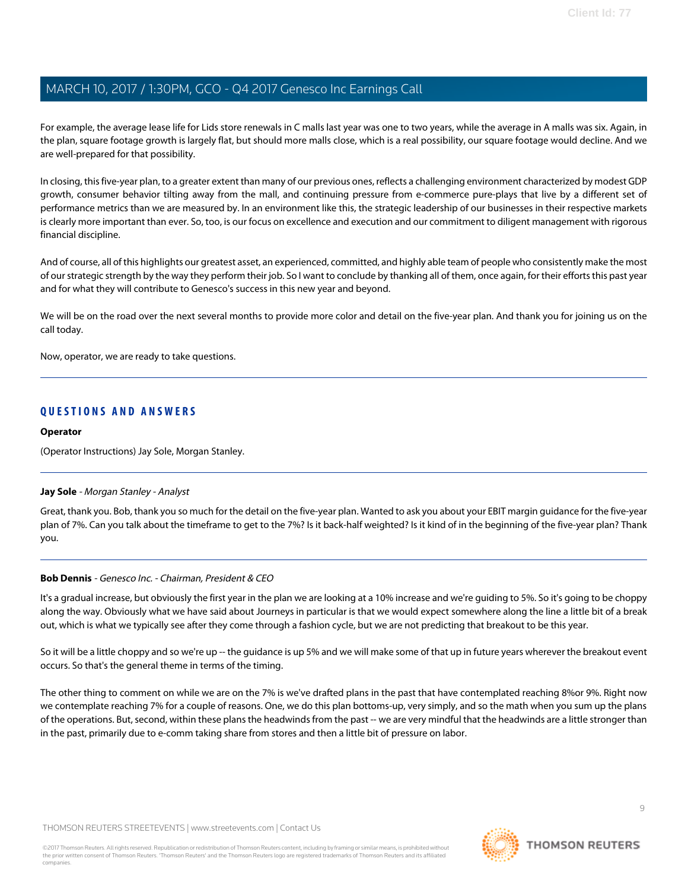For example, the average lease life for Lids store renewals in C malls last year was one to two years, while the average in A malls was six. Again, in the plan, square footage growth is largely flat, but should more malls close, which is a real possibility, our square footage would decline. And we are well-prepared for that possibility.

In closing, this five-year plan, to a greater extent than many of our previous ones, reflects a challenging environment characterized by modest GDP growth, consumer behavior tilting away from the mall, and continuing pressure from e-commerce pure-plays that live by a different set of performance metrics than we are measured by. In an environment like this, the strategic leadership of our businesses in their respective markets is clearly more important than ever. So, too, is our focus on excellence and execution and our commitment to diligent management with rigorous financial discipline.

And of course, all of this highlights our greatest asset, an experienced, committed, and highly able team of people who consistently make the most of our strategic strength by the way they perform their job. So I want to conclude by thanking all of them, once again, for their efforts this past year and for what they will contribute to Genesco's success in this new year and beyond.

We will be on the road over the next several months to provide more color and detail on the five-year plan. And thank you for joining us on the call today.

Now, operator, we are ready to take questions.

### **QUESTIONS AND ANSWERS**

#### **Operator**

<span id="page-8-0"></span>(Operator Instructions) Jay Sole, Morgan Stanley.

#### **Jay Sole** - Morgan Stanley - Analyst

Great, thank you. Bob, thank you so much for the detail on the five-year plan. Wanted to ask you about your EBIT margin guidance for the five-year plan of 7%. Can you talk about the timeframe to get to the 7%? Is it back-half weighted? Is it kind of in the beginning of the five-year plan? Thank you.

#### **Bob Dennis** - Genesco Inc. - Chairman, President & CEO

It's a gradual increase, but obviously the first year in the plan we are looking at a 10% increase and we're guiding to 5%. So it's going to be choppy along the way. Obviously what we have said about Journeys in particular is that we would expect somewhere along the line a little bit of a break out, which is what we typically see after they come through a fashion cycle, but we are not predicting that breakout to be this year.

So it will be a little choppy and so we're up -- the guidance is up 5% and we will make some of that up in future years wherever the breakout event occurs. So that's the general theme in terms of the timing.

The other thing to comment on while we are on the 7% is we've drafted plans in the past that have contemplated reaching 8%or 9%. Right now we contemplate reaching 7% for a couple of reasons. One, we do this plan bottoms-up, very simply, and so the math when you sum up the plans of the operations. But, second, within these plans the headwinds from the past -- we are very mindful that the headwinds are a little stronger than in the past, primarily due to e-comm taking share from stores and then a little bit of pressure on labor.

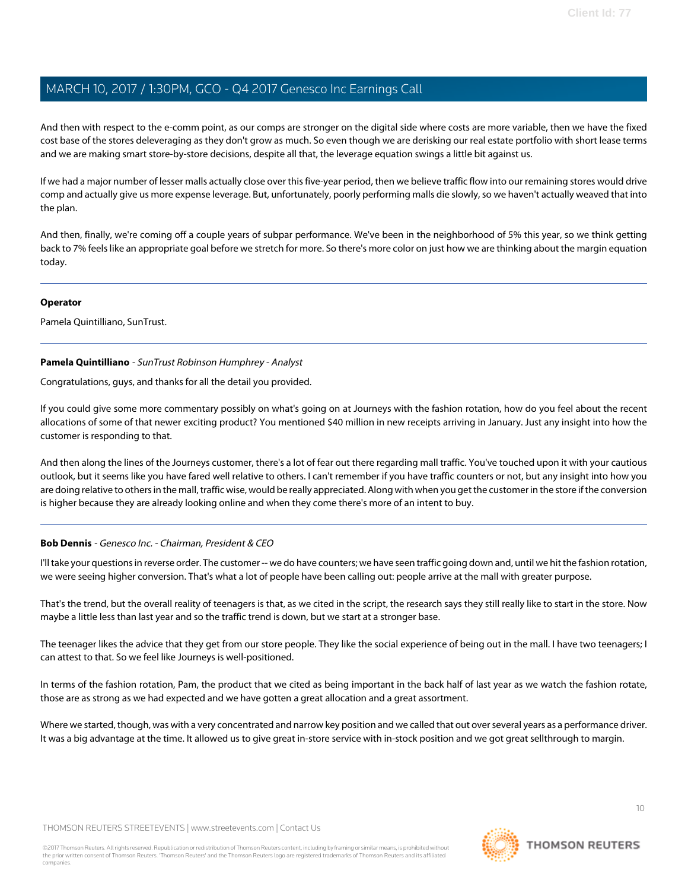And then with respect to the e-comm point, as our comps are stronger on the digital side where costs are more variable, then we have the fixed cost base of the stores deleveraging as they don't grow as much. So even though we are derisking our real estate portfolio with short lease terms and we are making smart store-by-store decisions, despite all that, the leverage equation swings a little bit against us.

If we had a major number of lesser malls actually close over this five-year period, then we believe traffic flow into our remaining stores would drive comp and actually give us more expense leverage. But, unfortunately, poorly performing malls die slowly, so we haven't actually weaved that into the plan.

And then, finally, we're coming off a couple years of subpar performance. We've been in the neighborhood of 5% this year, so we think getting back to 7% feels like an appropriate goal before we stretch for more. So there's more color on just how we are thinking about the margin equation today.

#### **Operator**

<span id="page-9-0"></span>Pamela Quintilliano, SunTrust.

### **Pamela Quintilliano** - SunTrust Robinson Humphrey - Analyst

Congratulations, guys, and thanks for all the detail you provided.

If you could give some more commentary possibly on what's going on at Journeys with the fashion rotation, how do you feel about the recent allocations of some of that newer exciting product? You mentioned \$40 million in new receipts arriving in January. Just any insight into how the customer is responding to that.

And then along the lines of the Journeys customer, there's a lot of fear out there regarding mall traffic. You've touched upon it with your cautious outlook, but it seems like you have fared well relative to others. I can't remember if you have traffic counters or not, but any insight into how you are doing relative to others in the mall, traffic wise, would be really appreciated. Along with when you get the customer in the store if the conversion is higher because they are already looking online and when they come there's more of an intent to buy.

### **Bob Dennis** - Genesco Inc. - Chairman, President & CEO

I'll take your questions in reverse order. The customer -- we do have counters; we have seen traffic going down and, until we hit the fashion rotation, we were seeing higher conversion. That's what a lot of people have been calling out: people arrive at the mall with greater purpose.

That's the trend, but the overall reality of teenagers is that, as we cited in the script, the research says they still really like to start in the store. Now maybe a little less than last year and so the traffic trend is down, but we start at a stronger base.

The teenager likes the advice that they get from our store people. They like the social experience of being out in the mall. I have two teenagers; I can attest to that. So we feel like Journeys is well-positioned.

In terms of the fashion rotation, Pam, the product that we cited as being important in the back half of last year as we watch the fashion rotate, those are as strong as we had expected and we have gotten a great allocation and a great assortment.

Where we started, though, was with a very concentrated and narrow key position and we called that out over several years as a performance driver. It was a big advantage at the time. It allowed us to give great in-store service with in-stock position and we got great sellthrough to margin.

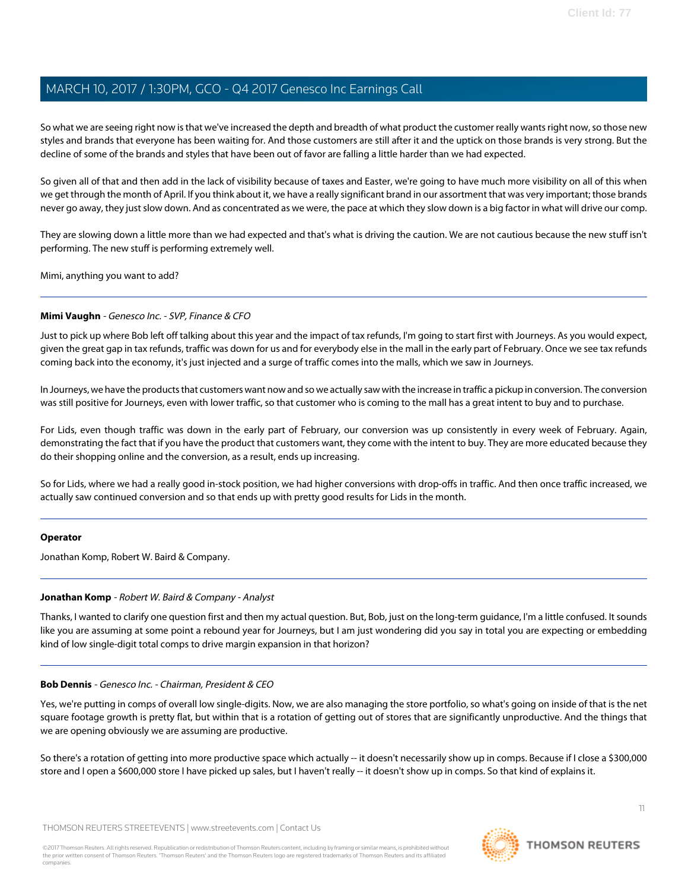So what we are seeing right now is that we've increased the depth and breadth of what product the customer really wants right now, so those new styles and brands that everyone has been waiting for. And those customers are still after it and the uptick on those brands is very strong. But the decline of some of the brands and styles that have been out of favor are falling a little harder than we had expected.

So given all of that and then add in the lack of visibility because of taxes and Easter, we're going to have much more visibility on all of this when we get through the month of April. If you think about it, we have a really significant brand in our assortment that was very important; those brands never go away, they just slow down. And as concentrated as we were, the pace at which they slow down is a big factor in what will drive our comp.

They are slowing down a little more than we had expected and that's what is driving the caution. We are not cautious because the new stuff isn't performing. The new stuff is performing extremely well.

Mimi, anything you want to add?

#### **Mimi Vaughn** - Genesco Inc. - SVP, Finance & CFO

Just to pick up where Bob left off talking about this year and the impact of tax refunds, I'm going to start first with Journeys. As you would expect, given the great gap in tax refunds, traffic was down for us and for everybody else in the mall in the early part of February. Once we see tax refunds coming back into the economy, it's just injected and a surge of traffic comes into the malls, which we saw in Journeys.

In Journeys, we have the products that customers want now and so we actually saw with the increase in traffic a pickup in conversion. The conversion was still positive for Journeys, even with lower traffic, so that customer who is coming to the mall has a great intent to buy and to purchase.

For Lids, even though traffic was down in the early part of February, our conversion was up consistently in every week of February. Again, demonstrating the fact that if you have the product that customers want, they come with the intent to buy. They are more educated because they do their shopping online and the conversion, as a result, ends up increasing.

So for Lids, where we had a really good in-stock position, we had higher conversions with drop-offs in traffic. And then once traffic increased, we actually saw continued conversion and so that ends up with pretty good results for Lids in the month.

#### <span id="page-10-0"></span>**Operator**

Jonathan Komp, Robert W. Baird & Company.

#### **Jonathan Komp** - Robert W. Baird & Company - Analyst

Thanks, I wanted to clarify one question first and then my actual question. But, Bob, just on the long-term guidance, I'm a little confused. It sounds like you are assuming at some point a rebound year for Journeys, but I am just wondering did you say in total you are expecting or embedding kind of low single-digit total comps to drive margin expansion in that horizon?

#### **Bob Dennis** - Genesco Inc. - Chairman, President & CEO

Yes, we're putting in comps of overall low single-digits. Now, we are also managing the store portfolio, so what's going on inside of that is the net square footage growth is pretty flat, but within that is a rotation of getting out of stores that are significantly unproductive. And the things that we are opening obviously we are assuming are productive.

So there's a rotation of getting into more productive space which actually -- it doesn't necessarily show up in comps. Because if I close a \$300,000 store and I open a \$600,000 store I have picked up sales, but I haven't really -- it doesn't show up in comps. So that kind of explains it.

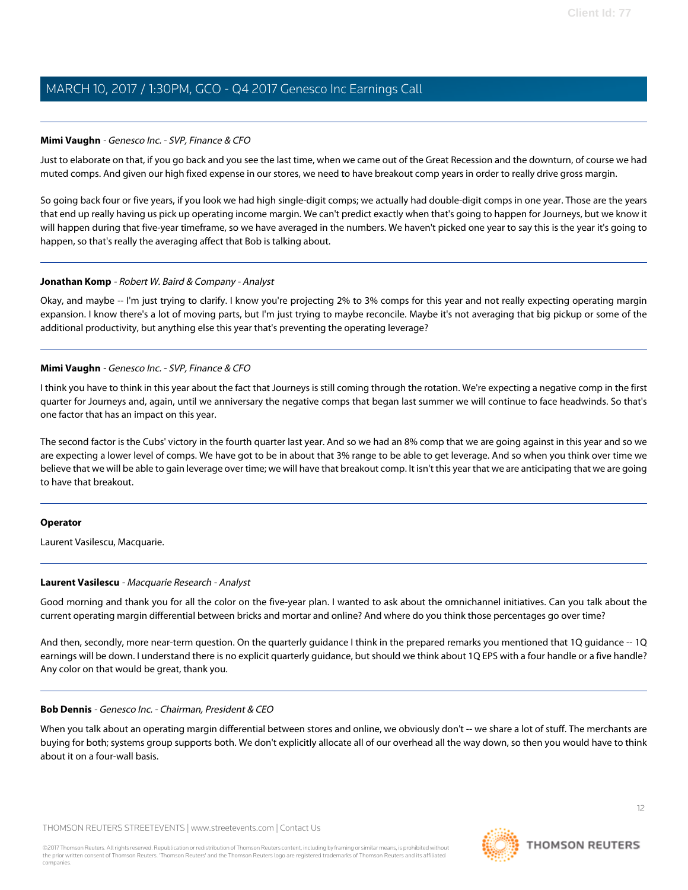#### **Mimi Vaughn** - Genesco Inc. - SVP, Finance & CFO

Just to elaborate on that, if you go back and you see the last time, when we came out of the Great Recession and the downturn, of course we had muted comps. And given our high fixed expense in our stores, we need to have breakout comp years in order to really drive gross margin.

So going back four or five years, if you look we had high single-digit comps; we actually had double-digit comps in one year. Those are the years that end up really having us pick up operating income margin. We can't predict exactly when that's going to happen for Journeys, but we know it will happen during that five-year timeframe, so we have averaged in the numbers. We haven't picked one year to say this is the year it's going to happen, so that's really the averaging affect that Bob is talking about.

#### **Jonathan Komp** - Robert W. Baird & Company - Analyst

Okay, and maybe -- I'm just trying to clarify. I know you're projecting 2% to 3% comps for this year and not really expecting operating margin expansion. I know there's a lot of moving parts, but I'm just trying to maybe reconcile. Maybe it's not averaging that big pickup or some of the additional productivity, but anything else this year that's preventing the operating leverage?

#### **Mimi Vaughn** - Genesco Inc. - SVP, Finance & CFO

I think you have to think in this year about the fact that Journeys is still coming through the rotation. We're expecting a negative comp in the first quarter for Journeys and, again, until we anniversary the negative comps that began last summer we will continue to face headwinds. So that's one factor that has an impact on this year.

The second factor is the Cubs' victory in the fourth quarter last year. And so we had an 8% comp that we are going against in this year and so we are expecting a lower level of comps. We have got to be in about that 3% range to be able to get leverage. And so when you think over time we believe that we will be able to gain leverage over time; we will have that breakout comp. It isn't this year that we are anticipating that we are going to have that breakout.

#### <span id="page-11-0"></span>**Operator**

Laurent Vasilescu, Macquarie.

#### **Laurent Vasilescu** - Macquarie Research - Analyst

Good morning and thank you for all the color on the five-year plan. I wanted to ask about the omnichannel initiatives. Can you talk about the current operating margin differential between bricks and mortar and online? And where do you think those percentages go over time?

And then, secondly, more near-term question. On the quarterly guidance I think in the prepared remarks you mentioned that 1Q guidance -- 1Q earnings will be down. I understand there is no explicit quarterly guidance, but should we think about 1Q EPS with a four handle or a five handle? Any color on that would be great, thank you.

#### **Bob Dennis** - Genesco Inc. - Chairman, President & CEO

When you talk about an operating margin differential between stores and online, we obviously don't -- we share a lot of stuff. The merchants are buying for both; systems group supports both. We don't explicitly allocate all of our overhead all the way down, so then you would have to think about it on a four-wall basis.

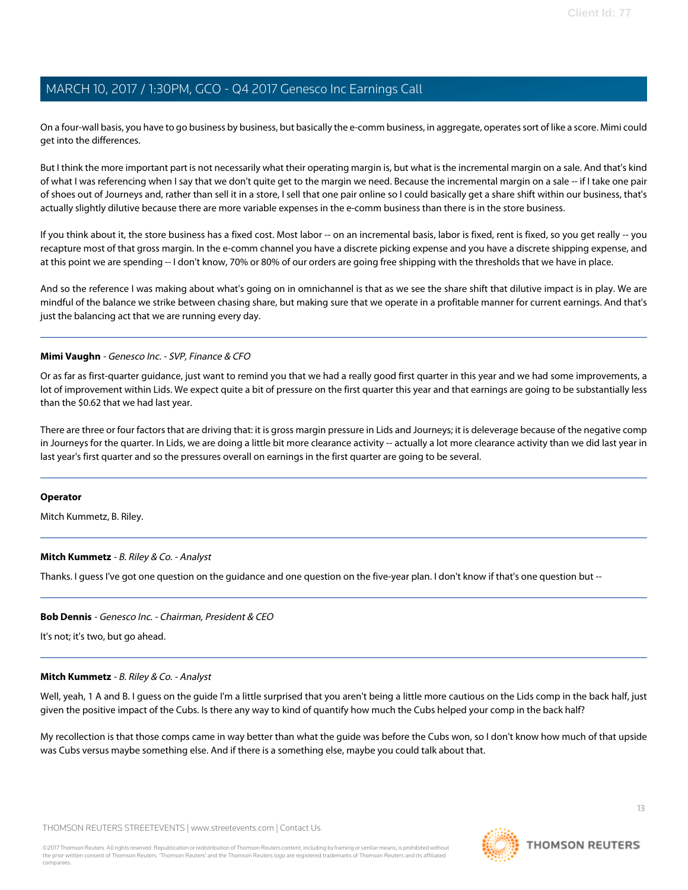On a four-wall basis, you have to go business by business, but basically the e-comm business, in aggregate, operates sort of like a score. Mimi could get into the differences.

But I think the more important part is not necessarily what their operating margin is, but what is the incremental margin on a sale. And that's kind of what I was referencing when I say that we don't quite get to the margin we need. Because the incremental margin on a sale -- if I take one pair of shoes out of Journeys and, rather than sell it in a store, I sell that one pair online so I could basically get a share shift within our business, that's actually slightly dilutive because there are more variable expenses in the e-comm business than there is in the store business.

If you think about it, the store business has a fixed cost. Most labor -- on an incremental basis, labor is fixed, rent is fixed, so you get really -- you recapture most of that gross margin. In the e-comm channel you have a discrete picking expense and you have a discrete shipping expense, and at this point we are spending -- I don't know, 70% or 80% of our orders are going free shipping with the thresholds that we have in place.

And so the reference I was making about what's going on in omnichannel is that as we see the share shift that dilutive impact is in play. We are mindful of the balance we strike between chasing share, but making sure that we operate in a profitable manner for current earnings. And that's just the balancing act that we are running every day.

#### **Mimi Vaughn** - Genesco Inc. - SVP, Finance & CFO

Or as far as first-quarter guidance, just want to remind you that we had a really good first quarter in this year and we had some improvements, a lot of improvement within Lids. We expect quite a bit of pressure on the first quarter this year and that earnings are going to be substantially less than the \$0.62 that we had last year.

There are three or four factors that are driving that: it is gross margin pressure in Lids and Journeys; it is deleverage because of the negative comp in Journeys for the quarter. In Lids, we are doing a little bit more clearance activity -- actually a lot more clearance activity than we did last year in last year's first quarter and so the pressures overall on earnings in the first quarter are going to be several.

#### <span id="page-12-0"></span>**Operator**

Mitch Kummetz, B. Riley.

#### **Mitch Kummetz** - B. Riley & Co. - Analyst

Thanks. I guess I've got one question on the guidance and one question on the five-year plan. I don't know if that's one question but --

### **Bob Dennis** - Genesco Inc. - Chairman, President & CEO

It's not; it's two, but go ahead.

#### **Mitch Kummetz** - B. Riley & Co. - Analyst

Well, yeah, 1 A and B. I guess on the quide I'm a little surprised that you aren't being a little more cautious on the Lids comp in the back half, just given the positive impact of the Cubs. Is there any way to kind of quantify how much the Cubs helped your comp in the back half?

My recollection is that those comps came in way better than what the guide was before the Cubs won, so I don't know how much of that upside was Cubs versus maybe something else. And if there is a something else, maybe you could talk about that.

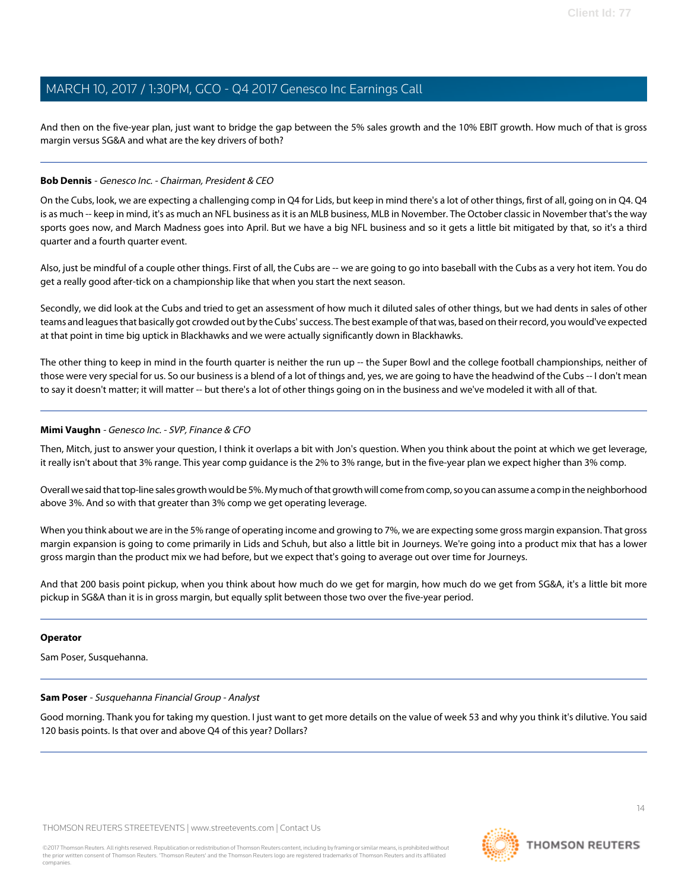And then on the five-year plan, just want to bridge the gap between the 5% sales growth and the 10% EBIT growth. How much of that is gross margin versus SG&A and what are the key drivers of both?

### **Bob Dennis** - Genesco Inc. - Chairman, President & CEO

On the Cubs, look, we are expecting a challenging comp in Q4 for Lids, but keep in mind there's a lot of other things, first of all, going on in Q4. Q4 is as much -- keep in mind, it's as much an NFL business as it is an MLB business, MLB in November. The October classic in November that's the way sports goes now, and March Madness goes into April. But we have a big NFL business and so it gets a little bit mitigated by that, so it's a third quarter and a fourth quarter event.

Also, just be mindful of a couple other things. First of all, the Cubs are -- we are going to go into baseball with the Cubs as a very hot item. You do get a really good after-tick on a championship like that when you start the next season.

Secondly, we did look at the Cubs and tried to get an assessment of how much it diluted sales of other things, but we had dents in sales of other teams and leagues that basically got crowded out by the Cubs' success. The best example of that was, based on their record, you would've expected at that point in time big uptick in Blackhawks and we were actually significantly down in Blackhawks.

The other thing to keep in mind in the fourth quarter is neither the run up -- the Super Bowl and the college football championships, neither of those were very special for us. So our business is a blend of a lot of things and, yes, we are going to have the headwind of the Cubs -- I don't mean to say it doesn't matter; it will matter -- but there's a lot of other things going on in the business and we've modeled it with all of that.

#### **Mimi Vaughn** - Genesco Inc. - SVP, Finance & CFO

Then, Mitch, just to answer your question, I think it overlaps a bit with Jon's question. When you think about the point at which we get leverage, it really isn't about that 3% range. This year comp guidance is the 2% to 3% range, but in the five-year plan we expect higher than 3% comp.

Overall we said that top-line sales growth would be 5%. My much of that growth will come from comp, so you can assume a comp in the neighborhood above 3%. And so with that greater than 3% comp we get operating leverage.

When you think about we are in the 5% range of operating income and growing to 7%, we are expecting some gross margin expansion. That gross margin expansion is going to come primarily in Lids and Schuh, but also a little bit in Journeys. We're going into a product mix that has a lower gross margin than the product mix we had before, but we expect that's going to average out over time for Journeys.

And that 200 basis point pickup, when you think about how much do we get for margin, how much do we get from SG&A, it's a little bit more pickup in SG&A than it is in gross margin, but equally split between those two over the five-year period.

#### <span id="page-13-0"></span>**Operator**

Sam Poser, Susquehanna.

#### **Sam Poser** - Susquehanna Financial Group - Analyst

Good morning. Thank you for taking my question. I just want to get more details on the value of week 53 and why you think it's dilutive. You said 120 basis points. Is that over and above Q4 of this year? Dollars?

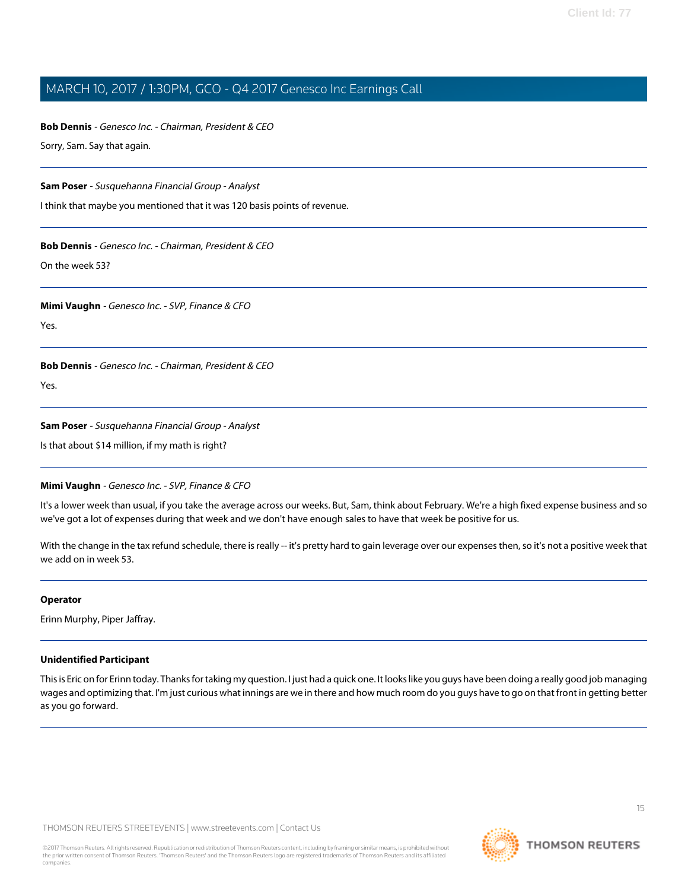**Bob Dennis** - Genesco Inc. - Chairman, President & CEO Sorry, Sam. Say that again.

**Sam Poser** - Susquehanna Financial Group - Analyst

I think that maybe you mentioned that it was 120 basis points of revenue.

### **Bob Dennis** - Genesco Inc. - Chairman, President & CEO

On the week 53?

### **Mimi Vaughn** - Genesco Inc. - SVP, Finance & CFO

Yes.

**Bob Dennis** - Genesco Inc. - Chairman, President & CEO

Yes.

### **Sam Poser** - Susquehanna Financial Group - Analyst

Is that about \$14 million, if my math is right?

### **Mimi Vaughn** - Genesco Inc. - SVP, Finance & CFO

It's a lower week than usual, if you take the average across our weeks. But, Sam, think about February. We're a high fixed expense business and so we've got a lot of expenses during that week and we don't have enough sales to have that week be positive for us.

With the change in the tax refund schedule, there is really -- it's pretty hard to gain leverage over our expenses then, so it's not a positive week that we add on in week 53.

### **Operator**

Erinn Murphy, Piper Jaffray.

### **Unidentified Participant**

This is Eric on for Erinn today. Thanks for taking my question. I just had a quick one. It looks like you guys have been doing a really good job managing wages and optimizing that. I'm just curious what innings are we in there and how much room do you guys have to go on that front in getting better as you go forward.

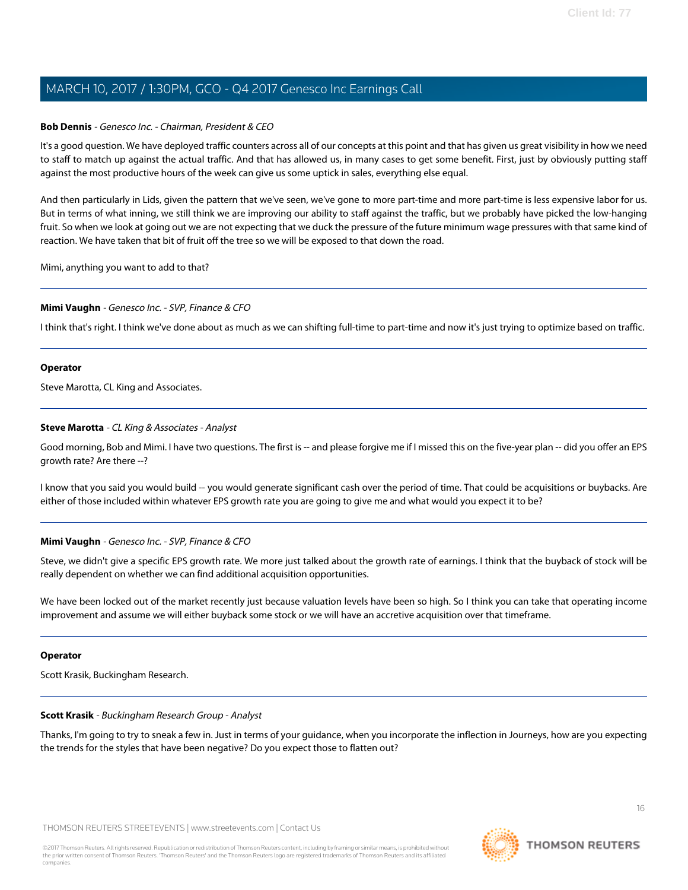#### **Bob Dennis** - Genesco Inc. - Chairman, President & CEO

It's a good question. We have deployed traffic counters across all of our concepts at this point and that has given us great visibility in how we need to staff to match up against the actual traffic. And that has allowed us, in many cases to get some benefit. First, just by obviously putting staff against the most productive hours of the week can give us some uptick in sales, everything else equal.

And then particularly in Lids, given the pattern that we've seen, we've gone to more part-time and more part-time is less expensive labor for us. But in terms of what inning, we still think we are improving our ability to staff against the traffic, but we probably have picked the low-hanging fruit. So when we look at going out we are not expecting that we duck the pressure of the future minimum wage pressures with that same kind of reaction. We have taken that bit of fruit off the tree so we will be exposed to that down the road.

Mimi, anything you want to add to that?

#### **Mimi Vaughn** - Genesco Inc. - SVP, Finance & CFO

I think that's right. I think we've done about as much as we can shifting full-time to part-time and now it's just trying to optimize based on traffic.

#### **Operator**

<span id="page-15-0"></span>Steve Marotta, CL King and Associates.

#### **Steve Marotta** - CL King & Associates - Analyst

Good morning, Bob and Mimi. I have two questions. The first is -- and please forgive me if I missed this on the five-year plan -- did you offer an EPS growth rate? Are there --?

I know that you said you would build -- you would generate significant cash over the period of time. That could be acquisitions or buybacks. Are either of those included within whatever EPS growth rate you are going to give me and what would you expect it to be?

#### **Mimi Vaughn** - Genesco Inc. - SVP, Finance & CFO

Steve, we didn't give a specific EPS growth rate. We more just talked about the growth rate of earnings. I think that the buyback of stock will be really dependent on whether we can find additional acquisition opportunities.

We have been locked out of the market recently just because valuation levels have been so high. So I think you can take that operating income improvement and assume we will either buyback some stock or we will have an accretive acquisition over that timeframe.

#### <span id="page-15-1"></span>**Operator**

Scott Krasik, Buckingham Research.

#### **Scott Krasik** - Buckingham Research Group - Analyst

Thanks, I'm going to try to sneak a few in. Just in terms of your guidance, when you incorporate the inflection in Journeys, how are you expecting the trends for the styles that have been negative? Do you expect those to flatten out?

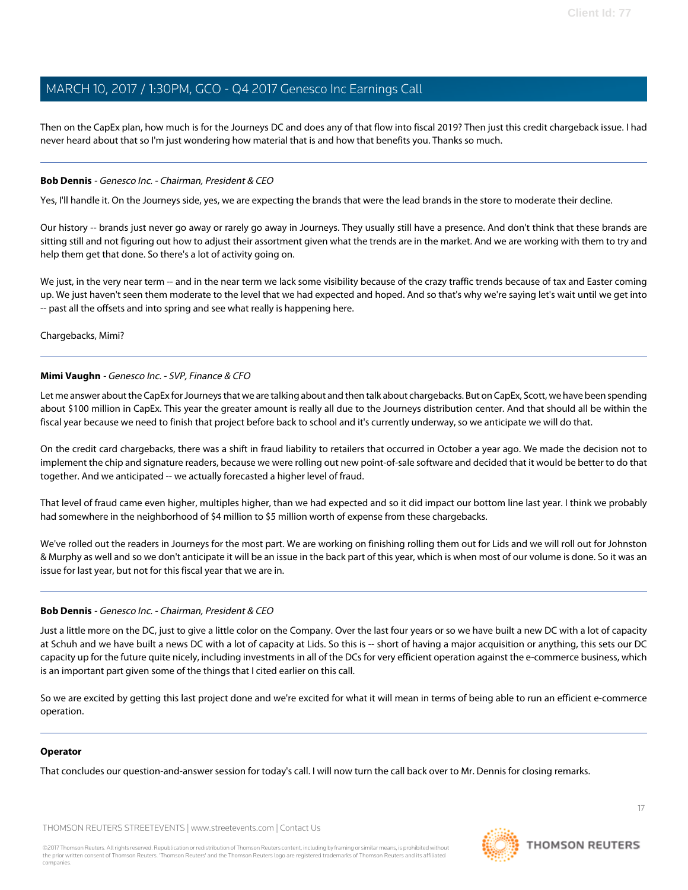Then on the CapEx plan, how much is for the Journeys DC and does any of that flow into fiscal 2019? Then just this credit chargeback issue. I had never heard about that so I'm just wondering how material that is and how that benefits you. Thanks so much.

#### **Bob Dennis** - Genesco Inc. - Chairman, President & CEO

Yes, I'll handle it. On the Journeys side, yes, we are expecting the brands that were the lead brands in the store to moderate their decline.

Our history -- brands just never go away or rarely go away in Journeys. They usually still have a presence. And don't think that these brands are sitting still and not figuring out how to adjust their assortment given what the trends are in the market. And we are working with them to try and help them get that done. So there's a lot of activity going on.

We just, in the very near term -- and in the near term we lack some visibility because of the crazy traffic trends because of tax and Easter coming up. We just haven't seen them moderate to the level that we had expected and hoped. And so that's why we're saying let's wait until we get into -- past all the offsets and into spring and see what really is happening here.

Chargebacks, Mimi?

#### **Mimi Vaughn** - Genesco Inc. - SVP, Finance & CFO

Let me answer about the CapEx for Journeys that we are talking about and then talk about chargebacks. But on CapEx, Scott, we have been spending about \$100 million in CapEx. This year the greater amount is really all due to the Journeys distribution center. And that should all be within the fiscal year because we need to finish that project before back to school and it's currently underway, so we anticipate we will do that.

On the credit card chargebacks, there was a shift in fraud liability to retailers that occurred in October a year ago. We made the decision not to implement the chip and signature readers, because we were rolling out new point-of-sale software and decided that it would be better to do that together. And we anticipated -- we actually forecasted a higher level of fraud.

That level of fraud came even higher, multiples higher, than we had expected and so it did impact our bottom line last year. I think we probably had somewhere in the neighborhood of \$4 million to \$5 million worth of expense from these chargebacks.

We've rolled out the readers in Journeys for the most part. We are working on finishing rolling them out for Lids and we will roll out for Johnston & Murphy as well and so we don't anticipate it will be an issue in the back part of this year, which is when most of our volume is done. So it was an issue for last year, but not for this fiscal year that we are in.

#### **Bob Dennis** - Genesco Inc. - Chairman, President & CEO

Just a little more on the DC, just to give a little color on the Company. Over the last four years or so we have built a new DC with a lot of capacity at Schuh and we have built a news DC with a lot of capacity at Lids. So this is -- short of having a major acquisition or anything, this sets our DC capacity up for the future quite nicely, including investments in all of the DCs for very efficient operation against the e-commerce business, which is an important part given some of the things that I cited earlier on this call.

So we are excited by getting this last project done and we're excited for what it will mean in terms of being able to run an efficient e-commerce operation.

#### **Operator**

That concludes our question-and-answer session for today's call. I will now turn the call back over to Mr. Dennis for closing remarks.

THOMSON REUTERS STREETEVENTS | [www.streetevents.com](http://www.streetevents.com) | [Contact Us](http://www010.streetevents.com/contact.asp)